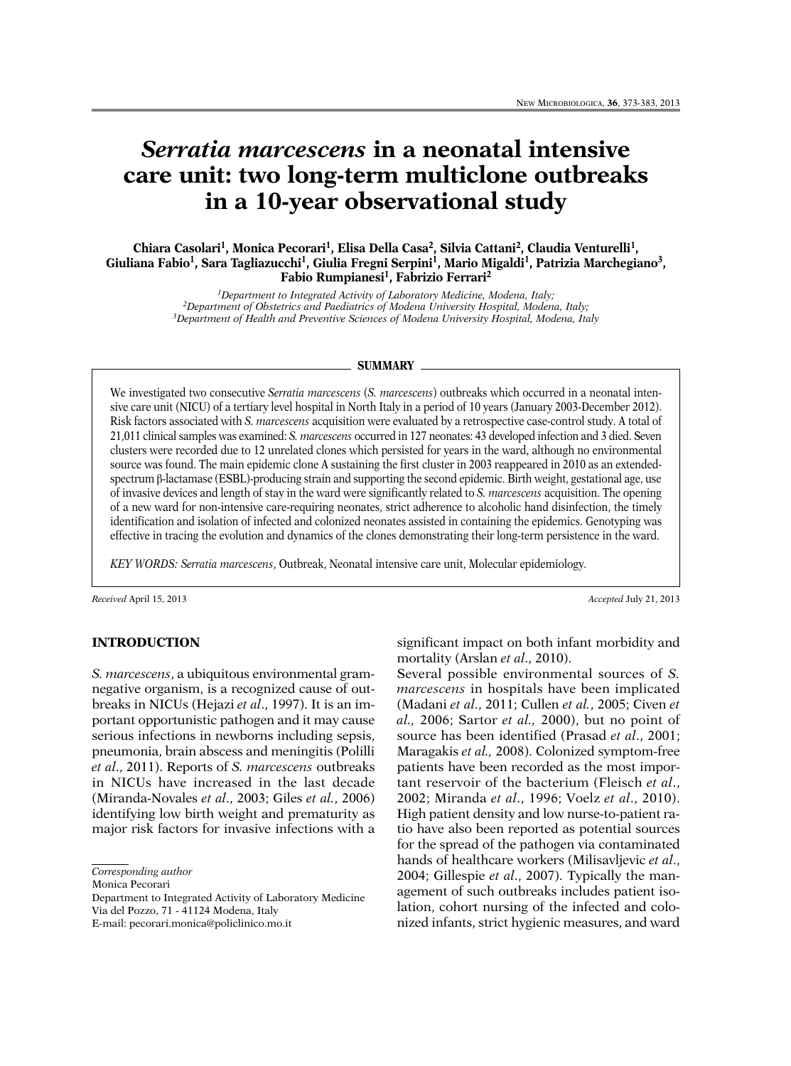# *Serratia marcescens* **in a neonatal intensive care unit: two long-term multiclone outbreaks in a 10-year observational study**

Chiara Casolari<sup>1</sup>, Monica Pecorari<sup>1</sup>, Elisa Della Casa<sup>2</sup>, Silvia Cattani<sup>2</sup>, Claudia Venturelli<sup>1</sup>, **Giuliana Fabio1, Sara Tagliazucchi1, Giulia Fregni Serpini1, Mario Migaldi1, Patrizia Marchegiano3, Fabio Rumpianesi1, Fabrizio Ferrari2**

> *1Department to Integrated Activity of Laboratory Medicine, Modena, Italy; 2Department of Obstetrics and Paediatrics of Modena University Hospital, Modena, Italy; 3Department of Health and Preventive Sciences of Modena University Hospital, Modena, Italy*

#### **SUMMARY**

We investigated two consecutive *Serratia marcescens* (*S. marcescens*) outbreaks which occurred in a neonatal intensive care unit (NICU) of a tertiary level hospital in North Italy in a period of 10 years (January 2003-December 2012). Risk factors associated with *S. marcescens* acquisition were evaluated by a retrospective case-control study. A total of 21,011 clinical samples was examined: *S. marcescens* occurred in 127 neonates: 43 developed infection and 3 died. Seven clusters were recorded due to 12 unrelated clones which persisted for years in the ward, although no environmental source was found. The main epidemic clone A sustaining the first cluster in 2003 reappeared in 2010 as an extendedspectrum β-lactamase (ESBL)-producing strain and supporting the second epidemic. Birth weight, gestational age, use of invasive devices and length of stay in the ward were significantly related to *S. marcescens* acquisition. The opening of a new ward for non-intensive care-requiring neonates, strict adherence to alcoholic hand disinfection, the timely identification and isolation of infected and colonized neonates assisted in containing the epidemics. Genotyping was effective in tracing the evolution and dynamics of the clones demonstrating their long-term persistence in the ward.

*KEY WORDS: Serratia marcescens*, Outbreak, Neonatal intensive care unit, Molecular epidemiology.

*Received* April 15, 2013 *Accepted* July 21, 2013

#### **INTRODUCTION**

*S. marcescens*, a ubiquitous environmental gramnegative organism, is a recognized cause of outbreaks in NICUs (Hejazi *et al*., 1997). It is an important opportunistic pathogen and it may cause serious infections in newborns including sepsis, pneumonia, brain abscess and meningitis (Polilli *et al*., 2011). Reports of *S. marcescens* outbreaks in NICUs have increased in the last decade (Miranda-Novales *et al*., 2003; Giles *et al.*, 2006) identifying low birth weight and prematurity as major risk factors for invasive infections with a

*Corresponding author*

Monica Pecorari

Department to Integrated Activity of Laboratory Medicine Via del Pozzo, 71 - 41124 Modena, Italy

significant impact on both infant morbidity and mortality (Arslan *et al*., 2010).

Several possible environmental sources of *S. marcescens* in hospitals have been implicated (Madani *et al*., 2011; Cullen *et al.*, 2005; Civen *et al.,* 2006; Sartor *et al.,* 2000), but no point of source has been identified (Prasad *et al*., 2001; Maragakis *et al.,* 2008). Colonized symptom-free patients have been recorded as the most important reservoir of the bacterium (Fleisch *et al*., 2002; Miranda *et al*., 1996; Voelz *et al*., 2010). High patient density and low nurse-to-patient ratio have also been reported as potential sources for the spread of the pathogen via contaminated hands of healthcare workers (Milisavljevic *et al*., 2004; Gillespie *et al*., 2007). Typically the management of such outbreaks includes patient isolation, cohort nursing of the infected and colonized infants, strict hygienic measures, and ward

E-mail: pecorari.monica@policlinico.mo.it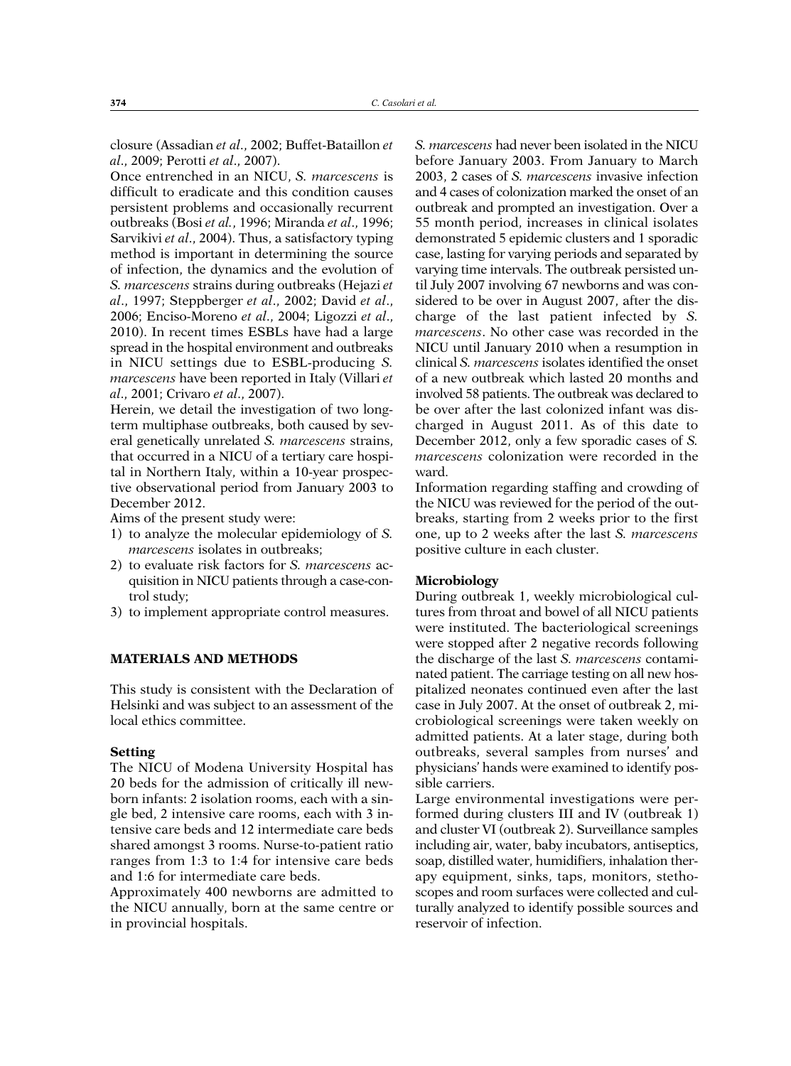closure (Assadian *et al*., 2002; Buffet-Bataillon *et al*., 2009; Perotti *et al*., 2007).

Once entrenched in an NICU, *S. marcescens* is difficult to eradicate and this condition causes persistent problems and occasionally recurrent outbreaks (Bosi *et al.*, 1996; Miranda *et al*., 1996; Sarvikivi *et al*., 2004). Thus, a satisfactory typing method is important in determining the source of infection, the dynamics and the evolution of *S. marcescens* strains during outbreaks (Hejazi *et al*., 1997; Steppberger *et al*., 2002; David *et al*., 2006; Enciso-Moreno *et al*., 2004; Ligozzi *et al*., 2010). In recent times ESBLs have had a large spread in the hospital environment and outbreaks in NICU settings due to ESBL-producing *S. marcescens* have been reported in Italy (Villari *et al*., 2001; Crivaro *et al*., 2007).

Herein, we detail the investigation of two longterm multiphase outbreaks, both caused by several genetically unrelated *S. marcescens* strains, that occurred in a NICU of a tertiary care hospital in Northern Italy, within a 10-year prospective observational period from January 2003 to December 2012.

Aims of the present study were:

- 1) to analyze the molecular epidemiology of *S. marcescens* isolates in outbreaks;
- 2) to evaluate risk factors for *S. marcescens* acquisition in NICU patients through a case-control study;
- 3) to implement appropriate control measures.

## **MATERIALS AND METHODS**

This study is consistent with the Declaration of Helsinki and was subject to an assessment of the local ethics committee.

#### **Setting**

The NICU of Modena University Hospital has 20 beds for the admission of critically ill newborn infants: 2 isolation rooms, each with a single bed, 2 intensive care rooms, each with 3 intensive care beds and 12 intermediate care beds shared amongst 3 rooms. Nurse-to-patient ratio ranges from 1:3 to 1:4 for intensive care beds and 1:6 for intermediate care beds.

Approximately 400 newborns are admitted to the NICU annually, born at the same centre or in provincial hospitals.

*S. marcescens* had never been isolated in the NICU before January 2003. From January to March 2003, 2 cases of *S. marcescens* invasive infection and 4 cases of colonization marked the onset of an outbreak and prompted an investigation. Over a 55 month period, increases in clinical isolates demonstrated 5 epidemic clusters and 1 sporadic case, lasting for varying periods and separated by varying time intervals. The outbreak persisted until July 2007 involving 67 newborns and was considered to be over in August 2007, after the discharge of the last patient infected by *S. marcescens*. No other case was recorded in the NICU until January 2010 when a resumption in clinical *S. marcescens* isolates identified the onset of a new outbreak which lasted 20 months and involved 58 patients. The outbreak was declared to be over after the last colonized infant was discharged in August 2011. As of this date to December 2012, only a few sporadic cases of *S. marcescens* colonization were recorded in the ward.

Information regarding staffing and crowding of the NICU was reviewed for the period of the outbreaks, starting from 2 weeks prior to the first one, up to 2 weeks after the last *S. marcescens* positive culture in each cluster.

### **Microbiology**

During outbreak 1, weekly microbiological cultures from throat and bowel of all NICU patients were instituted. The bacteriological screenings were stopped after 2 negative records following the discharge of the last *S. marcescens* contaminated patient. The carriage testing on all new hospitalized neonates continued even after the last case in July 2007. At the onset of outbreak 2, microbiological screenings were taken weekly on admitted patients. At a later stage, during both outbreaks, several samples from nurses' and physicians' hands were examined to identify possible carriers.

Large environmental investigations were performed during clusters III and IV (outbreak 1) and cluster VI (outbreak 2). Surveillance samples including air, water, baby incubators, antiseptics, soap, distilled water, humidifiers, inhalation therapy equipment, sinks, taps, monitors, stethoscopes and room surfaces were collected and culturally analyzed to identify possible sources and reservoir of infection.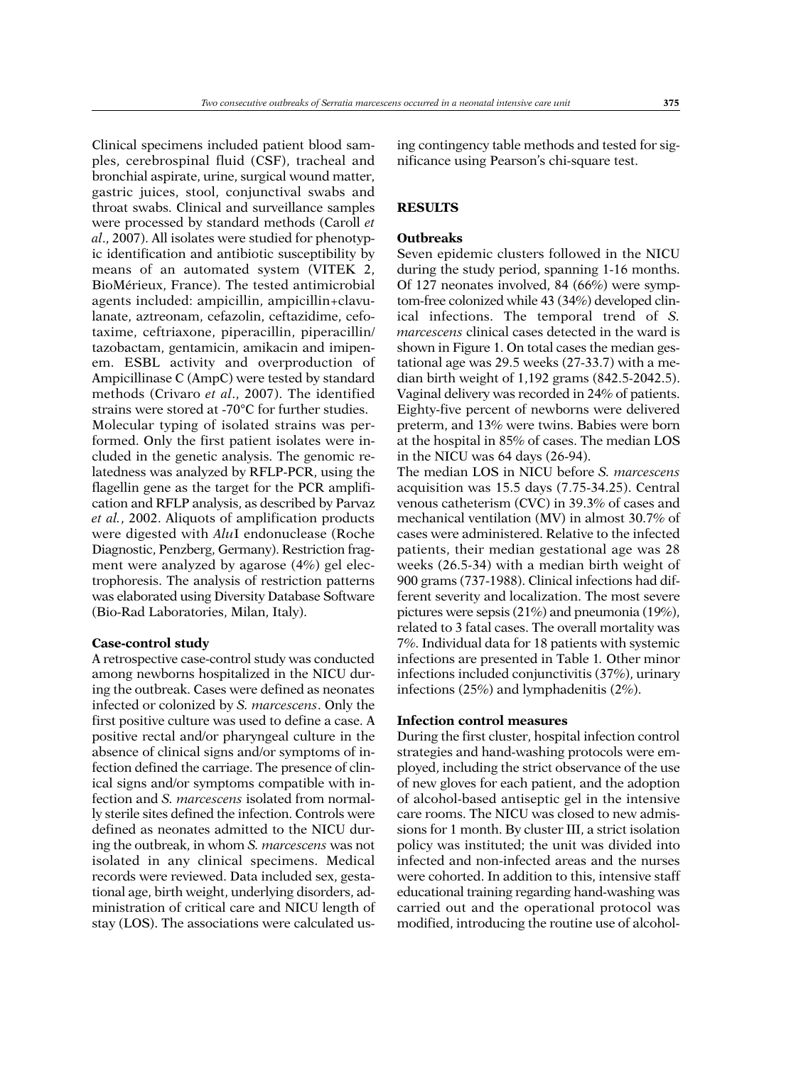Clinical specimens included patient blood samples, cerebrospinal fluid (CSF), tracheal and bronchial aspirate, urine, surgical wound matter, gastric juices, stool, conjunctival swabs and throat swabs. Clinical and surveillance samples were processed by standard methods (Caroll *et al*., 2007). All isolates were studied for phenotypic identification and antibiotic susceptibility by means of an automated system (VITEK 2, BioMérieux, France). The tested antimicrobial agents included: ampicillin, ampicillin+clavulanate, aztreonam, cefazolin, ceftazidime, cefotaxime, ceftriaxone, piperacillin, piperacillin/ tazobactam, gentamicin, amikacin and imipenem. ESBL activity and overproduction of Ampicillinase C (AmpC) were tested by standard methods (Crivaro *et al*., 2007). The identified strains were stored at -70°C for further studies. Molecular typing of isolated strains was performed. Only the first patient isolates were included in the genetic analysis. The genomic relatedness was analyzed by RFLP-PCR, using the flagellin gene as the target for the PCR amplification and RFLP analysis, as described by Parvaz *et al.*, 2002. Aliquots of amplification products were digested with *Alu*I endonuclease (Roche Diagnostic, Penzberg, Germany). Restriction fragment were analyzed by agarose (4%) gel electrophoresis. The analysis of restriction patterns was elaborated using Diversity Database Software

**Case-control study**

(Bio-Rad Laboratories, Milan, Italy).

A retrospective case-control study was conducted among newborns hospitalized in the NICU during the outbreak. Cases were defined as neonates infected or colonized by *S. marcescens*. Only the first positive culture was used to define a case. A positive rectal and/or pharyngeal culture in the absence of clinical signs and/or symptoms of infection defined the carriage. The presence of clinical signs and/or symptoms compatible with infection and *S. marcescens* isolated from normally sterile sites defined the infection. Controls were defined as neonates admitted to the NICU during the outbreak, in whom *S. marcescens* was not isolated in any clinical specimens. Medical records were reviewed. Data included sex, gestational age, birth weight, underlying disorders, administration of critical care and NICU length of stay (LOS). The associations were calculated using contingency table methods and tested for significance using Pearson's chi-square test.

## **RESULTS**

## **Outbreaks**

Seven epidemic clusters followed in the NICU during the study period, spanning 1-16 months. Of 127 neonates involved, 84 (66%) were symptom-free colonized while 43 (34%) developed clinical infections. The temporal trend of *S. marcescens* clinical cases detected in the ward is shown in Figure 1. On total cases the median gestational age was 29.5 weeks (27-33.7) with a median birth weight of 1,192 grams (842.5-2042.5). Vaginal delivery was recorded in 24% of patients. Eighty-five percent of newborns were delivered preterm, and 13% were twins. Babies were born at the hospital in 85% of cases. The median LOS in the NICU was 64 days (26-94).

The median LOS in NICU before *S. marcescens* acquisition was 15.5 days (7.75-34.25). Central venous catheterism (CVC) in 39.3% of cases and mechanical ventilation (MV) in almost 30.7% of cases were administered. Relative to the infected patients, their median gestational age was 28 weeks (26.5-34) with a median birth weight of 900 grams (737-1988). Clinical infections had different severity and localization. The most severe pictures were sepsis (21%) and pneumonia (19%), related to 3 fatal cases. The overall mortality was 7%. Individual data for 18 patients with systemic infections are presented in Table 1*.* Other minor infections included conjunctivitis (37%), urinary infections (25%) and lymphadenitis (2%).

#### **Infection control measures**

During the first cluster, hospital infection control strategies and hand-washing protocols were employed, including the strict observance of the use of new gloves for each patient, and the adoption of alcohol-based antiseptic gel in the intensive care rooms. The NICU was closed to new admissions for 1 month. By cluster III, a strict isolation policy was instituted; the unit was divided into infected and non-infected areas and the nurses were cohorted. In addition to this, intensive staff educational training regarding hand-washing was carried out and the operational protocol was modified, introducing the routine use of alcohol-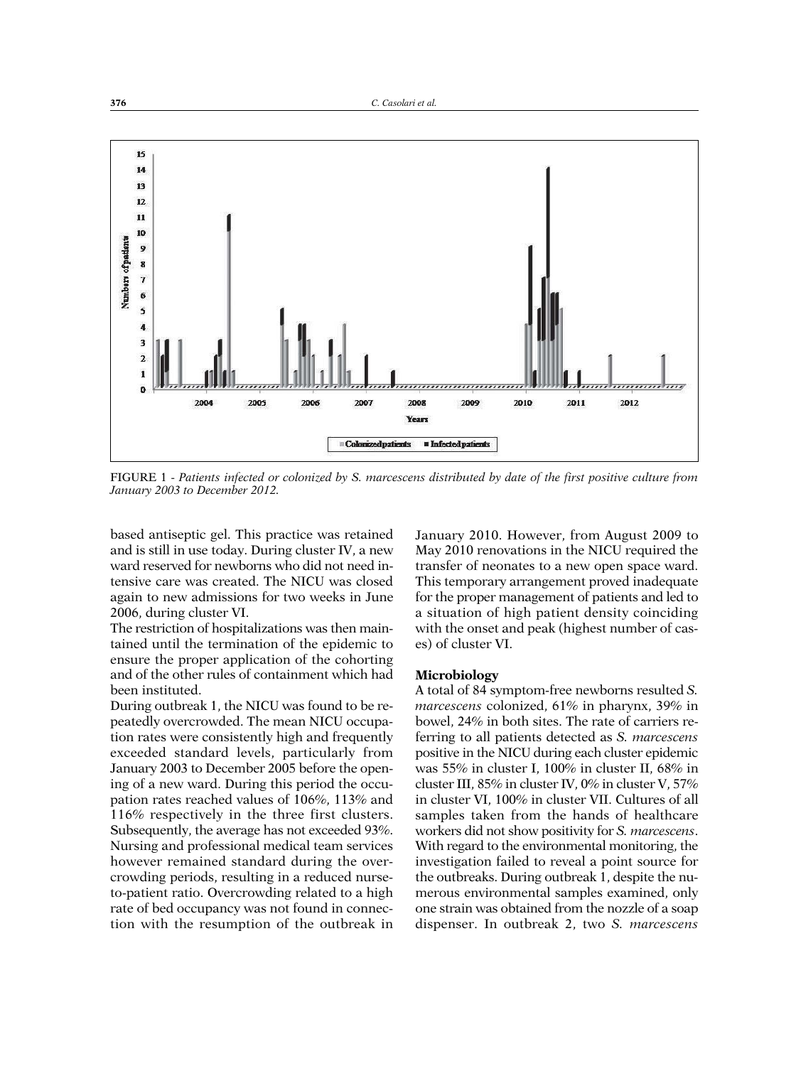

FIGURE 1 - *Patients infected or colonized by S. marcescens distributed by date of the first positive culture from January 2003 to December 2012.*

based antiseptic gel. This practice was retained and is still in use today. During cluster IV, a new ward reserved for newborns who did not need intensive care was created. The NICU was closed again to new admissions for two weeks in June 2006, during cluster VI.

The restriction of hospitalizations was then maintained until the termination of the epidemic to ensure the proper application of the cohorting and of the other rules of containment which had been instituted.

During outbreak 1, the NICU was found to be repeatedly overcrowded. The mean NICU occupation rates were consistently high and frequently exceeded standard levels, particularly from January 2003 to December 2005 before the opening of a new ward. During this period the occupation rates reached values of 106%, 113% and 116% respectively in the three first clusters. Subsequently, the average has not exceeded 93%. Nursing and professional medical team services however remained standard during the overcrowding periods, resulting in a reduced nurseto-patient ratio. Overcrowding related to a high rate of bed occupancy was not found in connection with the resumption of the outbreak in

January 2010. However, from August 2009 to May 2010 renovations in the NICU required the transfer of neonates to a new open space ward. This temporary arrangement proved inadequate for the proper management of patients and led to a situation of high patient density coinciding with the onset and peak (highest number of cases) of cluster VI.

### **Microbiology**

A total of 84 symptom-free newborns resulted *S. marcescens* colonized, 61% in pharynx, 39% in bowel, 24% in both sites. The rate of carriers referring to all patients detected as *S. marcescens* positive in the NICU during each cluster epidemic was 55% in cluster I, 100% in cluster II, 68% in cluster III, 85% in cluster IV, 0% in cluster V, 57% in cluster VI, 100% in cluster VII. Cultures of all samples taken from the hands of healthcare workers did not show positivity for *S. marcescens*. With regard to the environmental monitoring, the investigation failed to reveal a point source for the outbreaks. During outbreak 1, despite the numerous environmental samples examined, only one strain was obtained from the nozzle of a soap dispenser. In outbreak 2, two *S. marcescens*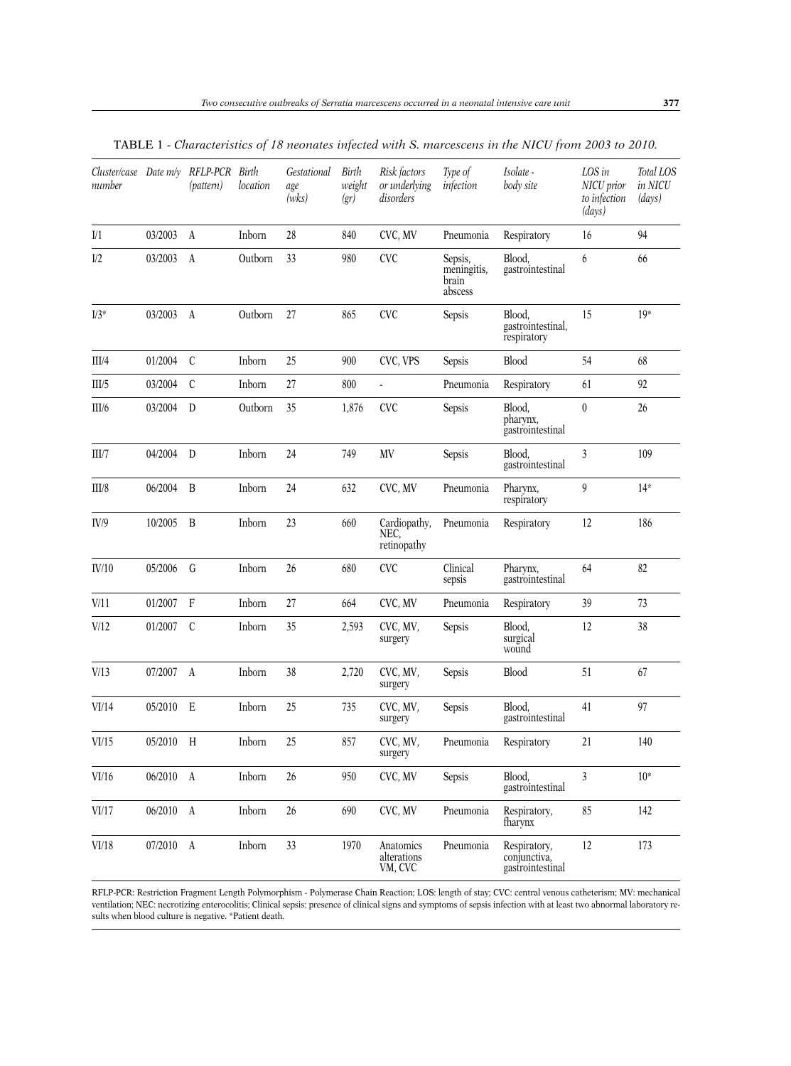| number |           | Cluster/case Date m/y RFLP-PCR Birth<br>(pattern) | location | Gestational<br>age<br>(wks) | Birth<br>weight<br>(gr) | Risk factors<br>or underlying<br>disorders | Type of<br>infection                       | Isolate -<br>body site                           | LOS in<br>NICU prior<br>to infection<br>(days) | Total LOS<br>in NICU<br>(days) |
|--------|-----------|---------------------------------------------------|----------|-----------------------------|-------------------------|--------------------------------------------|--------------------------------------------|--------------------------------------------------|------------------------------------------------|--------------------------------|
| $1$    | 03/2003   | $\boldsymbol{A}$                                  | Inborn   | 28                          | 840                     | CVC, MV                                    | Pneumonia                                  | Respiratory                                      | 16                                             | 94                             |
| I/2    | 03/2003   | A                                                 | Outborn  | 33                          | 980                     | <b>CVC</b>                                 | Sepsis,<br>meningitis,<br>brain<br>abscess | Blood,<br>gastrointestinal                       | 6                                              | 66                             |
| $I/3*$ | 03/2003 A |                                                   | Outborn  | 27                          | 865                     | <b>CVC</b>                                 | Sepsis                                     | Blood,<br>gastrointestinal,<br>respiratory       | 15                                             | $19*$                          |
| III/4  | 01/2004   | $\mathcal{C}$                                     | Inborn   | 25                          | 900                     | CVC, VPS                                   | Sepsis                                     | <b>Blood</b>                                     | 54                                             | 68                             |
| III/5  | 03/2004   | $\mathcal{C}$                                     | Inborn   | 27                          | 800                     | ä,                                         | Pneumonia                                  | Respiratory                                      | 61                                             | 92                             |
| III/6  | 03/2004   | $\mathbf D$                                       | Outborn  | 35                          | 1,876                   | <b>CVC</b>                                 | Sepsis                                     | Blood,<br>pharynx,<br>gastrointestinal           | $\boldsymbol{0}$                               | 26                             |
| III/7  | 04/2004   | D                                                 | Inborn   | 24                          | 749                     | MV                                         | Sepsis                                     | Blood,<br>gastrointestinal                       | $\mathfrak{Z}$                                 | 109                            |
| III/8  | 06/2004   | B                                                 | Inborn   | 24                          | 632                     | CVC, MV                                    | Pneumonia                                  | Pharynx,<br>respiratory                          | 9                                              | $14*$                          |
| IV/9   | 10/2005   | B                                                 | Inborn   | 23                          | 660                     | Cardiopathy,<br>NEC.<br>retinopathy        | Pneumonia                                  | Respiratory                                      | 12                                             | 186                            |
| IV/10  | 05/2006   | G                                                 | Inborn   | 26                          | 680                     | <b>CVC</b>                                 | Clinical<br>sepsis                         | Pharynx,<br>gastrointestinal                     | 64                                             | 82                             |
| V/11   | 01/2007   | $\mathbf{F}$                                      | Inborn   | 27                          | 664                     | CVC, MV                                    | Pneumonia                                  | Respiratory                                      | 39                                             | 73                             |
| V/12   | 01/2007   | $\mathcal{C}$                                     | Inborn   | 35                          | 2,593                   | CVC, MV,<br>surgery                        | Sepsis                                     | Blood,<br>surgical<br>wound                      | 12                                             | 38                             |
| V/13   | 07/2007   | $\mathbf{A}$                                      | Inborn   | 38                          | 2,720                   | CVC, MV,<br>surgery                        | Sepsis                                     | <b>Blood</b>                                     | 51                                             | 67                             |
| VI/14  | 05/2010 E |                                                   | Inborn   | 25                          | 735                     | CVC, MV,<br>surgery                        | Sepsis                                     | Blood,<br>gastrointestinal                       | 41                                             | 97                             |
| VI/15  | 05/2010 H |                                                   | Inborn   | 25                          | 857                     | CVC, MV,<br>surgery                        | Pneumonia                                  | Respiratory                                      | $21\,$                                         | 140                            |
| VI/16  | 06/2010 A |                                                   | Inborn   | 26                          | 950                     | CVC, MV                                    | Sepsis                                     | Blood,<br>gastrointestinal                       | $\mathfrak{Z}$                                 | $10*$                          |
| VI/17  | 06/2010 A |                                                   | Inborn   | 26                          | 690                     | CVC, MV                                    | Pneumonia                                  | Respiratory,<br>fharynx                          | 85                                             | 142                            |
| VI/18  | 07/2010 A |                                                   | Inborn   | 33                          | 1970                    | Anatomics<br>alterations<br>VM, CVC        | Pneumonia                                  | Respiratory,<br>conjunctiva,<br>gastrointestinal | 12                                             | 173                            |

TABLE 1 - *Characteristics of 18 neonates infected with S. marcescens in the NICU from 2003 to 2010.*

RFLP-PCR: Restriction Fragment Length Polymorphism - Polymerase Chain Reaction; LOS: length of stay; CVC: central venous catheterism; MV: mechanical ventilation; NEC: necrotizing enterocolitis; Clinical sepsis: presence of clinical signs and symptoms of sepsis infection with at least two abnormal laboratory results when blood culture is negative. \*Patient death.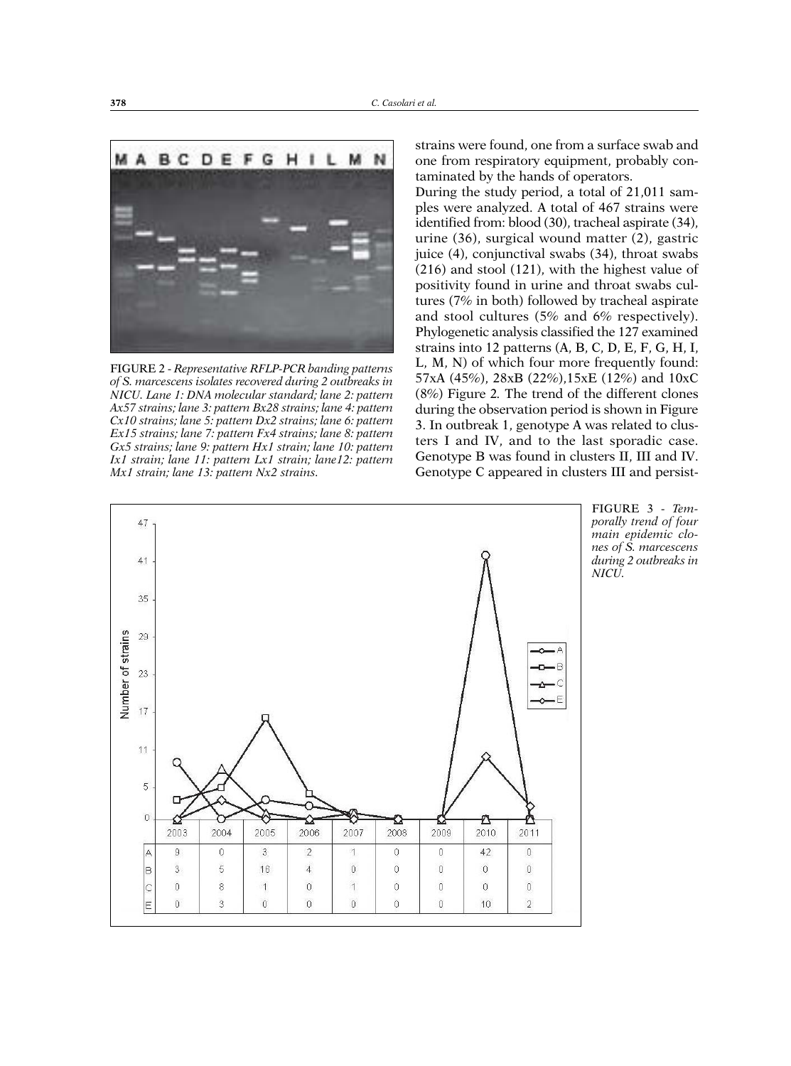

FIGURE 2 - *Representative RFLP-PCR banding patterns of S. marcescens isolates recovered during 2 outbreaks in NICU. Lane 1: DNA molecular standard; lane 2: pattern Ax57 strains; lane 3: pattern Bx28 strains; lane 4: pattern Cx10 strains; lane 5: pattern Dx2 strains; lane 6: pattern Ex15 strains; lane 7: pattern Fx4 strains; lane 8: pattern Gx5 strains; lane 9: pattern Hx1 strain; lane 10: pattern Ix1 strain; lane 11: pattern Lx1 strain; lane12: pattern Mx1 strain; lane 13: pattern Nx2 strains.*

strains were found, one from a surface swab and one from respiratory equipment, probably contaminated by the hands of operators.

During the study period, a total of 21,011 samples were analyzed. A total of 467 strains were identified from: blood (30), tracheal aspirate (34), urine (36), surgical wound matter (2), gastric juice (4), conjunctival swabs (34), throat swabs (216) and stool (121), with the highest value of positivity found in urine and throat swabs cultures (7% in both) followed by tracheal aspirate and stool cultures (5% and 6% respectively). Phylogenetic analysis classified the 127 examined strains into 12 patterns (A, B, C, D, E, F, G, H, I, L, M, N) of which four more frequently found: 57xA (45%), 28xB (22%),15xE (12%) and 10xC (8%) Figure 2*.* The trend of the different clones during the observation period is shown in Figure 3. In outbreak 1, genotype A was related to clusters I and IV, and to the last sporadic case. Genotype B was found in clusters II, III and IV. Genotype C appeared in clusters III and persist-



FIGURE 3 - *Tem porally trend of four main epidemic clo nes of S. marcescens during 2 outbreaks in NICU.*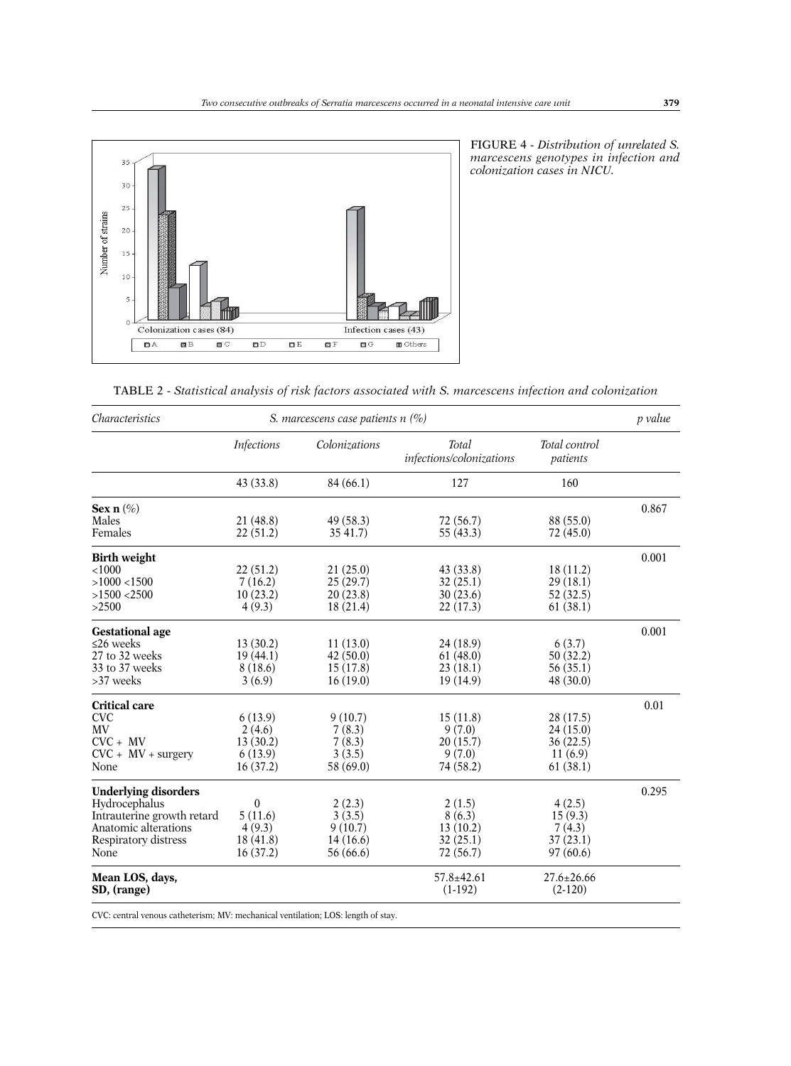

FIGURE 4 - *Distribution of unrelated S. marcescens genotypes in infection and colonization cases in NICU.*

| TABLE 2 - Statistical analysis of risk factors associated with S. marcescens infection and colonization |  |  |  |  |
|---------------------------------------------------------------------------------------------------------|--|--|--|--|
|---------------------------------------------------------------------------------------------------------|--|--|--|--|

| <i>Characteristics</i>         | S. marcescens case patients $n$ (%) |                       |                                          |                               |       |  |  |  |
|--------------------------------|-------------------------------------|-----------------------|------------------------------------------|-------------------------------|-------|--|--|--|
|                                | <i>Infections</i>                   | Colonizations         | <b>Total</b><br>infections/colonizations | Total control<br>patients     |       |  |  |  |
|                                | 43 (33.8)                           | 84 (66.1)             | 127                                      | 160                           |       |  |  |  |
| Sex $n$ (%)                    |                                     |                       |                                          |                               | 0.867 |  |  |  |
| Males<br>Females               | 21 (48.8)<br>22(51.2)               | 49 (58.3)<br>35 41.7) | 72 (56.7)<br>55 (43.3)                   | 88 (55.0)<br>72 (45.0)        |       |  |  |  |
| <b>Birth weight</b>            |                                     |                       |                                          |                               | 0.001 |  |  |  |
| < 1000                         | 22(51.2)                            | 21(25.0)              | 43(33.8)                                 | 18(11.2)                      |       |  |  |  |
| $>1000$ <1500                  | 7(16.2)                             | 25(29.7)              | 32(25.1)                                 | 29(18.1)                      |       |  |  |  |
| $>1500$ <2500                  | 10(23.2)                            | 20(23.8)              | 30(23.6)                                 | 52(32.5)                      |       |  |  |  |
| >2500                          | 4(9.3)                              | 18(21.4)              | 22(17.3)                                 | 61(38.1)                      |       |  |  |  |
| <b>Gestational</b> age         |                                     |                       |                                          |                               | 0.001 |  |  |  |
| $\leq$ 26 weeks                | 13(30.2)                            | 11(13.0)              | 24(18.9)                                 | 6(3.7)                        |       |  |  |  |
| 27 to 32 weeks                 | 19(44.1)                            | 42 (50.0)             | 61(48.0)                                 | 50(32.2)                      |       |  |  |  |
| 33 to 37 weeks                 | 8(18.6)                             | 15(17.8)              | 23(18.1)                                 | 56(35.1)                      |       |  |  |  |
| >37 weeks                      | 3(6.9)                              | 16(19.0)              | 19(14.9)                                 | 48 (30.0)                     |       |  |  |  |
| <b>Critical care</b>           |                                     |                       |                                          |                               | 0.01  |  |  |  |
| <b>CVC</b>                     | 6(13.9)                             | 9(10.7)               | 15(11.8)                                 | 28 (17.5)                     |       |  |  |  |
| MV                             | 2(4.6)                              | 7(8.3)                | 9(7.0)                                   | 24(15.0)                      |       |  |  |  |
| $CVC + MV$                     | 13(30.2)                            | 7(8.3)                | 20(15.7)                                 | 36(22.5)                      |       |  |  |  |
| $CVC + MV + surgery$           | 6(13.9)                             | 3(3.5)                | 9(7.0)                                   | 11(6.9)                       |       |  |  |  |
| None                           | 16(37.2)                            | 58 (69.0)             | 74 (58.2)                                | 61(38.1)                      |       |  |  |  |
| <b>Underlying disorders</b>    |                                     |                       |                                          |                               | 0.295 |  |  |  |
| Hydrocephalus                  | $\boldsymbol{0}$                    | 2(2.3)                | 2(1.5)                                   | 4(2.5)                        |       |  |  |  |
| Intrauterine growth retard     | 5(11.6)                             | 3(3.5)                | 8(6.3)                                   | 15(9.3)                       |       |  |  |  |
| Anatomic alterations           | 4(9.3)                              | 9(10.7)               | 13(10.2)                                 | 7(4.3)                        |       |  |  |  |
| Respiratory distress           | 18(41.8)                            | 14(16.6)              | 32(25.1)                                 | 37(23.1)                      |       |  |  |  |
| None                           | 16(37.2)                            | 56 (66.6)             | 72 (56.7)                                | 97(60.6)                      |       |  |  |  |
| Mean LOS, days,<br>SD, (range) |                                     |                       | $57.8 \pm 42.61$<br>$(1-192)$            | $27.6 \pm 26.66$<br>$(2-120)$ |       |  |  |  |

CVC: central venous catheterism; MV: mechanical ventilation; LOS: length of stay.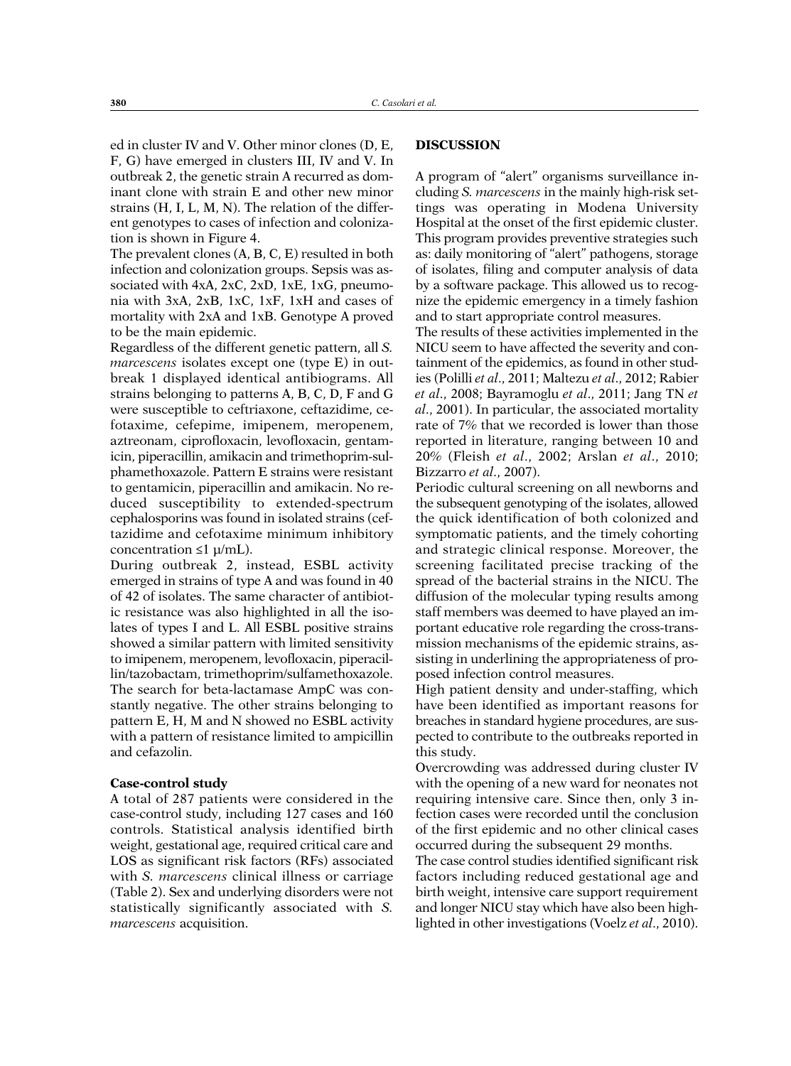ed in cluster IV and V. Other minor clones (D, E, F, G) have emerged in clusters III, IV and V. In outbreak 2, the genetic strain A recurred as dominant clone with strain E and other new minor strains (H, I, L, M, N). The relation of the different genotypes to cases of infection and colonization is shown in Figure 4.

The prevalent clones (A, B, C, E) resulted in both infection and colonization groups. Sepsis was associated with 4xA, 2xC, 2xD, 1xE, 1xG, pneumonia with 3xA, 2xB, 1xC, 1xF, 1xH and cases of mortality with 2xA and 1xB. Genotype A proved to be the main epidemic.

Regardless of the different genetic pattern, all *S. marcescens* isolates except one (type E) in outbreak 1 displayed identical antibiograms. All strains belonging to patterns A, B, C, D, F and G were susceptible to ceftriaxone, ceftazidime, cefotaxime, cefepime, imipenem, meropenem, aztreonam, ciprofloxacin, levofloxacin, gentamicin, piperacillin, amikacin and trimethoprim-sulphamethoxazole. Pattern E strains were resistant to gentamicin, piperacillin and amikacin. No reduced susceptibility to extended-spectrum cephalosporins was found in isolated strains (ceftazidime and cefotaxime minimum inhibitory concentration  $\leq 1 \mu/mL$ ).

During outbreak 2, instead, ESBL activity emerged in strains of type A and was found in 40 of 42 of isolates. The same character of antibiotic resistance was also highlighted in all the isolates of types I and L. All ESBL positive strains showed a similar pattern with limited sensitivity to imipenem, meropenem, levofloxacin, piperacillin/tazobactam, trimethoprim/sulfamethoxazole. The search for beta-lactamase AmpC was constantly negative. The other strains belonging to pattern E, H, M and N showed no ESBL activity with a pattern of resistance limited to ampicillin and cefazolin.

## **Case-control study**

A total of 287 patients were considered in the case-control study, including 127 cases and 160 controls. Statistical analysis identified birth weight, gestational age, required critical care and LOS as significant risk factors (RFs) associated with *S. marcescens* clinical illness or carriage (Table 2). Sex and underlying disorders were not statistically significantly associated with *S. marcescens* acquisition.

## **DISCUSSION**

A program of "alert" organisms surveillance including *S. marcescens* in the mainly high-risk settings was operating in Modena University Hospital at the onset of the first epidemic cluster. This program provides preventive strategies such as: daily monitoring of "alert" pathogens, storage of isolates, filing and computer analysis of data by a software package. This allowed us to recognize the epidemic emergency in a timely fashion and to start appropriate control measures.

The results of these activities implemented in the NICU seem to have affected the severity and containment of the epidemics, as found in other studies (Polilli *et al*., 2011; Maltezu *et al*., 2012; Rabier *et al*., 2008; Bayramoglu *et al*., 2011; Jang TN *et al*., 2001). In particular, the associated mortality rate of 7% that we recorded is lower than those reported in literature, ranging between 10 and 20% (Fleish *et al*., 2002; Arslan *et al*., 2010; Bizzarro *et al*., 2007).

Periodic cultural screening on all newborns and the subsequent genotyping of the isolates, allowed the quick identification of both colonized and symptomatic patients, and the timely cohorting and strategic clinical response. Moreover, the screening facilitated precise tracking of the spread of the bacterial strains in the NICU. The diffusion of the molecular typing results among staff members was deemed to have played an important educative role regarding the cross-transmission mechanisms of the epidemic strains, assisting in underlining the appropriateness of proposed infection control measures.

High patient density and under-staffing, which have been identified as important reasons for breaches in standard hygiene procedures, are suspected to contribute to the outbreaks reported in this study.

Overcrowding was addressed during cluster IV with the opening of a new ward for neonates not requiring intensive care. Since then, only 3 infection cases were recorded until the conclusion of the first epidemic and no other clinical cases occurred during the subsequent 29 months.

The case control studies identified significant risk factors including reduced gestational age and birth weight, intensive care support requirement and longer NICU stay which have also been highlighted in other investigations (Voelz *et al*., 2010).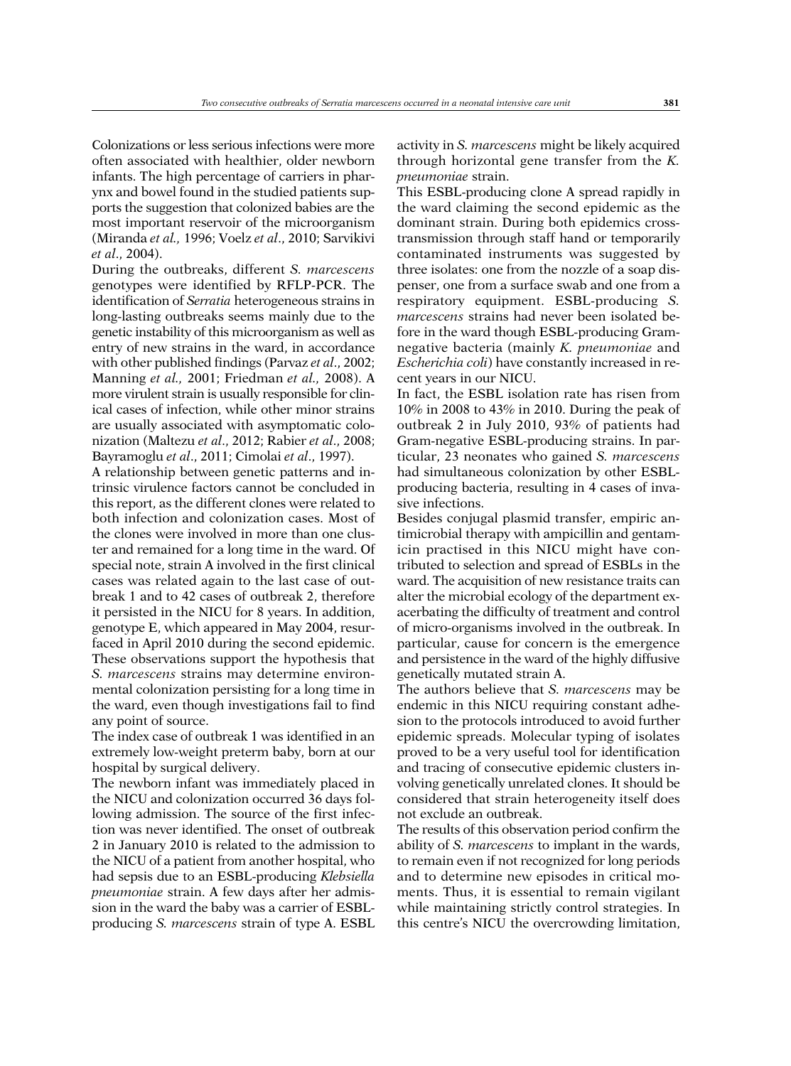Colonizations or less serious infections were more often associated with healthier, older newborn infants. The high percentage of carriers in pharynx and bowel found in the studied patients supports the suggestion that colonized babies are the most important reservoir of the microorganism (Miranda *et al.,* 1996; Voelz *et al*., 2010; Sarvikivi *et al*., 2004).

During the outbreaks, different *S. marcescens* genotypes were identified by RFLP-PCR. The identification of *Serratia* heterogeneous strains in long-lasting outbreaks seems mainly due to the genetic instability of this microorganism as well as entry of new strains in the ward, in accordance with other published findings (Parvaz *et al*., 2002; Manning *et al.,* 2001; Friedman *et al.,* 2008). A more virulent strain is usually responsible for clinical cases of infection, while other minor strains are usually associated with asymptomatic colonization (Maltezu *et al*., 2012; Rabier *et al*., 2008; Bayramoglu *et al*., 2011; Cimolai *et al*., 1997).

A relationship between genetic patterns and intrinsic virulence factors cannot be concluded in this report, as the different clones were related to both infection and colonization cases. Most of the clones were involved in more than one cluster and remained for a long time in the ward. Of special note, strain A involved in the first clinical cases was related again to the last case of outbreak 1 and to 42 cases of outbreak 2, therefore it persisted in the NICU for 8 years. In addition, genotype E, which appeared in May 2004, resurfaced in April 2010 during the second epidemic. These observations support the hypothesis that *S. marcescens* strains may determine environmental colonization persisting for a long time in the ward, even though investigations fail to find any point of source.

The index case of outbreak 1 was identified in an extremely low-weight preterm baby, born at our hospital by surgical delivery.

The newborn infant was immediately placed in the NICU and colonization occurred 36 days following admission. The source of the first infection was never identified. The onset of outbreak 2 in January 2010 is related to the admission to the NICU of a patient from another hospital, who had sepsis due to an ESBL-producing *Klebsiella pneumoniae* strain. A few days after her admission in the ward the baby was a carrier of ESBLproducing *S. marcescens* strain of type A. ESBL

activity in *S. marcescens* might be likely acquired through horizontal gene transfer from the *K. pneumoniae* strain.

This ESBL-producing clone A spread rapidly in the ward claiming the second epidemic as the dominant strain. During both epidemics crosstransmission through staff hand or temporarily contaminated instruments was suggested by three isolates: one from the nozzle of a soap dispenser, one from a surface swab and one from a respiratory equipment. ESBL-producing *S. marcescens* strains had never been isolated before in the ward though ESBL-producing Gramnegative bacteria (mainly *K. pneumoniae* and *Escherichia coli*) have constantly increased in recent years in our NICU.

In fact, the ESBL isolation rate has risen from 10% in 2008 to 43% in 2010. During the peak of outbreak 2 in July 2010, 93% of patients had Gram-negative ESBL-producing strains. In particular, 23 neonates who gained *S. marcescens* had simultaneous colonization by other ESBLproducing bacteria, resulting in 4 cases of invasive infections.

Besides conjugal plasmid transfer, empiric antimicrobial therapy with ampicillin and gentamicin practised in this NICU might have contributed to selection and spread of ESBLs in the ward. The acquisition of new resistance traits can alter the microbial ecology of the department exacerbating the difficulty of treatment and control of micro-organisms involved in the outbreak. In particular, cause for concern is the emergence and persistence in the ward of the highly diffusive genetically mutated strain A.

The authors believe that *S. marcescens* may be endemic in this NICU requiring constant adhesion to the protocols introduced to avoid further epidemic spreads. Molecular typing of isolates proved to be a very useful tool for identification and tracing of consecutive epidemic clusters involving genetically unrelated clones. It should be considered that strain heterogeneity itself does not exclude an outbreak.

The results of this observation period confirm the ability of *S. marcescens* to implant in the wards, to remain even if not recognized for long periods and to determine new episodes in critical moments. Thus, it is essential to remain vigilant while maintaining strictly control strategies. In this centre's NICU the overcrowding limitation,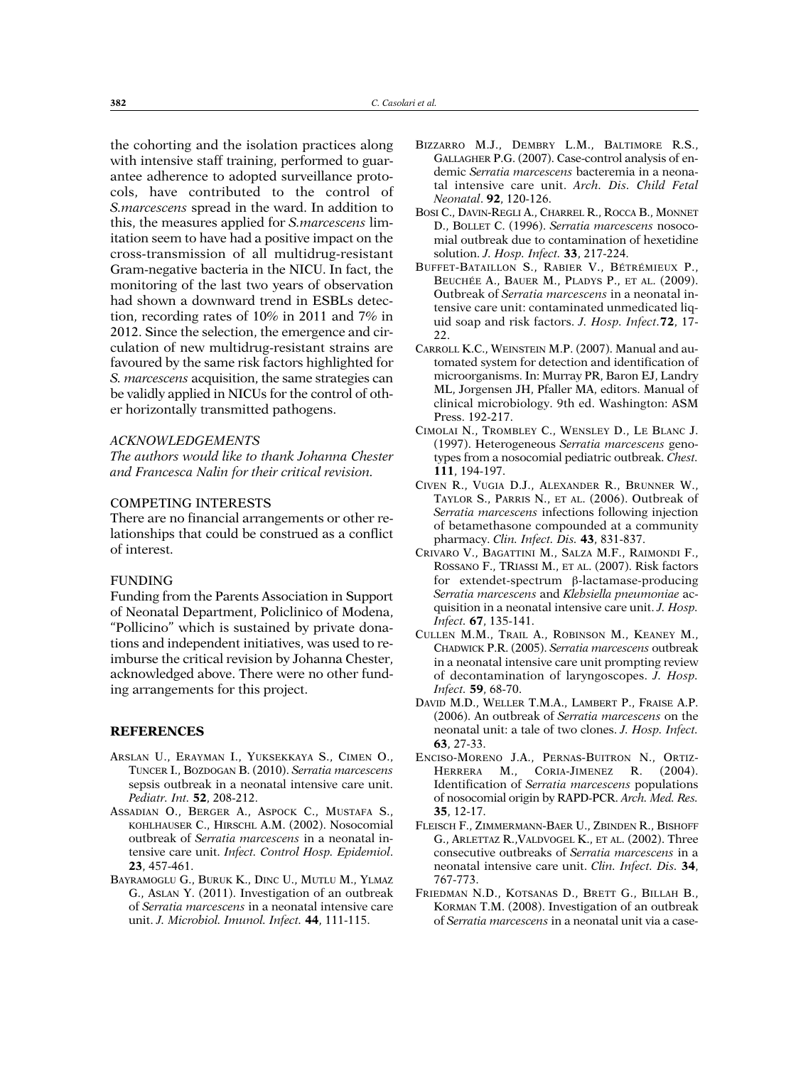the cohorting and the isolation practices along with intensive staff training, performed to guarantee adherence to adopted surveillance protocols, have contributed to the control of *S.marcescens* spread in the ward. In addition to this, the measures applied for *S.marcescens* limitation seem to have had a positive impact on the cross-transmission of all multidrug-resistant Gram-negative bacteria in the NICU. In fact, the monitoring of the last two years of observation had shown a downward trend in ESBLs detection, recording rates of 10% in 2011 and 7% in 2012. Since the selection, the emergence and circulation of new multidrug-resistant strains are favoured by the same risk factors highlighted for *S. marcescens* acquisition, the same strategies can be validly applied in NICUs for the control of other horizontally transmitted pathogens.

#### *ACKNOWLEDGEMENTS*

*The authors would like to thank Johanna Chester and Francesca Nalin for their critical revision.*

## COMPETING INTERESTS

There are no financial arrangements or other relationships that could be construed as a conflict of interest.

## FUNDING

Funding from the Parents Association in Support of Neonatal Department, Policlinico of Modena, "Pollicino" which is sustained by private donations and independent initiatives, was used to reimburse the critical revision by Johanna Chester, acknowledged above. There were no other funding arrangements for this project.

#### **REFERENCES**

- ARSLAN U., ERAyMAN I., yUKSEKKAyA S., CIMEN O., TUNCER I., BOzDOGAN B. (2010). *Serratia marcescens* sepsis outbreak in a neonatal intensive care unit. *Pediatr. Int.* **52**, 208-212.
- ASSADIAN O., BERGER A., ASPOCK C., MUSTAFA S., KOHLHAUSER C., HIRSCHL A.M. (2002). Nosocomial outbreak of *Serratia marcescens* in a neonatal intensive care unit. *Infect. Control Hosp. Epidemiol*. **23**, 457-461.
- BAYRAMOGLU G., BURUK K., DINC U., MUTLU M., YLMAZ G., ASLAN y. (2011). Investigation of an outbreak of *Serratia marcescens* in a neonatal intensive care unit. *J. Microbiol. Imunol. Infect.* **44**, 111-115.
- BIzzARRO M.J., DEMBRy L.M., BALTIMORE R.S., GALLAGHER P.G. (2007). Case-control analysis of endemic *Serratia marcescens* bacteremia in a neonatal intensive care unit. *Arch. Dis. Child Fetal Neonatal*. **92**, 120-126.
- BOSI C., DAVIN-REGLI A., CHARREL R., ROCCA B., MONNET D., BOLLET C. (1996). *Serratia marcescens* nosocomial outbreak due to contamination of hexetidine solution. *J. Hosp. Infect.* **33**, 217-224.
- BUFFET-BATAILLON S., RABIER V., BéTRéMIEUx P., BEUCHéE A., BAUER M., PLADyS P., ET AL. (2009). Outbreak of *Serratia marcescens* in a neonatal intensive care unit: contaminated unmedicated liquid soap and risk factors. *J. Hosp. Infect.***72**, 17-  $22.$
- CARROLL K.C., WEINSTEIN M.P. (2007). Manual and automated system for detection and identification of microorganisms. In: Murray PR, Baron EJ, Landry ML, Jorgensen JH, Pfaller MA, editors. Manual of clinical microbiology. 9th ed. Washington: ASM Press. 192-217.
- CIMOLAI N., TROMBLEy C., WENSLEy D., LE BLANC J. (1997). Heterogeneous *Serratia marcescens* genotypes from a nosocomial pediatric outbreak. *Chest.* **111**, 194-197.
- CIVEN R., VUGIA D.J., ALExANDER R., BRUNNER W., TAyLOR S., PARRIS N., ET AL. (2006). Outbreak of *Serratia marcescens* infections following injection of betamethasone compounded at a community pharmacy. *Clin. Infect. Dis.* **43**, 831-837.
- CRIVARO V., BAGATTINI M., SALzA M.F., RAIMONDI F., ROSSANO F., TRIASSI M., ET AL. (2007). Risk factors for extendet-spectrum β-lactamase-producing *Serratia marcescens* and *Klebsiella pneumoniae* acquisition in a neonatal intensive care unit. *J. Hosp. Infect.* **67**, 135-141.
- CULLEN M.M., TRAIL A., ROBINSON M., KEANEy M., CHADWICK P.R. (2005). *Serratia marcescens* outbreak in a neonatal intensive care unit prompting review of decontamination of laryngoscopes. *J. Hosp. Infect.* **59**, 68-70.
- DAVID M.D., WELLER T.M.A., LAMBERT P., FRAISE A.P. (2006). An outbreak of *Serratia marcescens* on the neonatal unit: a tale of two clones. *J. Hosp. Infect.* **63**, 27-33.
- ENCISO-MORENO J.A., PERNAS-BUITRON N., ORTIz-HERRERA M., CORIA-JIMENEz R. (2004). Identification of *Serratia marcescens* populations of nosocomial origin by RAPD-PCR. *Arch. Med. Res.* **35**, 12-17.
- FLEISCH F., zIMMERMANN-BAER U., zBINDEN R., BISHOFF G., ARLETTAz R.,VALDVOGEL K., ET AL. (2002). Three consecutive outbreaks of *Serratia marcescens* in a neonatal intensive care unit. *Clin. Infect. Dis.* **34**, 767-773.
- FRIEDMAN N.D., KOTSANAS D., BRETT G., BILLAH B., KORMAN T.M. (2008). Investigation of an outbreak of *Serratia marcescens* in a neonatal unit via a case-